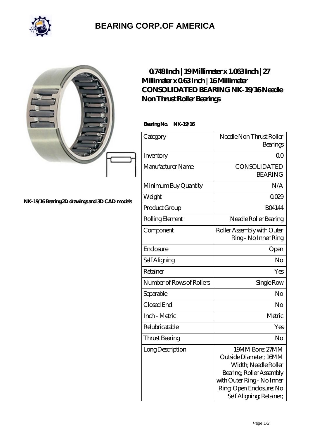

## **[BEARING CORP.OF AMERICA](https://m.bluemondayreview.com)**

|                                               | $0748$ Inch   19 Millimeter x 1.063 Inch   27<br>Millimeter x 063Inch   16Millimeter<br><b>CONSOLIDATED BEARING NK-19/16Needle</b><br>Non Thrust Roller Bearings<br>Bearing No. NK-19/16 |                                                                                                                                                                                    |
|-----------------------------------------------|------------------------------------------------------------------------------------------------------------------------------------------------------------------------------------------|------------------------------------------------------------------------------------------------------------------------------------------------------------------------------------|
|                                               | Category                                                                                                                                                                                 | Needle Non Thrust Roller<br>Bearings                                                                                                                                               |
|                                               | Inventory                                                                                                                                                                                | 0 <sub>0</sub>                                                                                                                                                                     |
|                                               | Manufacturer Name                                                                                                                                                                        | <b>CONSOLIDATED</b><br><b>BEARING</b>                                                                                                                                              |
|                                               | Minimum Buy Quantity                                                                                                                                                                     | N/A                                                                                                                                                                                |
|                                               | Weight                                                                                                                                                                                   | 0029                                                                                                                                                                               |
| NK-19/16Bearing 2D drawings and 3D CAD models | Product Group                                                                                                                                                                            | <b>BO4144</b>                                                                                                                                                                      |
|                                               | Rolling Element                                                                                                                                                                          | Needle Roller Bearing                                                                                                                                                              |
|                                               | Component                                                                                                                                                                                | Roller Assembly with Outer<br>Ring - No Inner Ring                                                                                                                                 |
|                                               | Enclosure                                                                                                                                                                                | Open                                                                                                                                                                               |
|                                               | Self Aligning                                                                                                                                                                            | N <sub>o</sub>                                                                                                                                                                     |
|                                               | Retainer                                                                                                                                                                                 | Yes                                                                                                                                                                                |
|                                               | Number of Rows of Rollers                                                                                                                                                                | Single Row                                                                                                                                                                         |
|                                               | Separable                                                                                                                                                                                | No                                                                                                                                                                                 |
|                                               | Closed End                                                                                                                                                                               | No                                                                                                                                                                                 |
|                                               | Inch - Metric                                                                                                                                                                            | Metric                                                                                                                                                                             |
|                                               | Relubricatable                                                                                                                                                                           | Yes                                                                                                                                                                                |
|                                               | <b>Thrust Bearing</b>                                                                                                                                                                    | N <sub>o</sub>                                                                                                                                                                     |
|                                               | Long Description                                                                                                                                                                         | 19MM Bore; 27MM<br>Outside Diameter; 16MM<br>Width; Needle Roller<br>Bearing, Roller Assembly<br>with Outer Ring - No Inner<br>Ring Open Enclosure; No<br>Self Aligning, Retainer; |